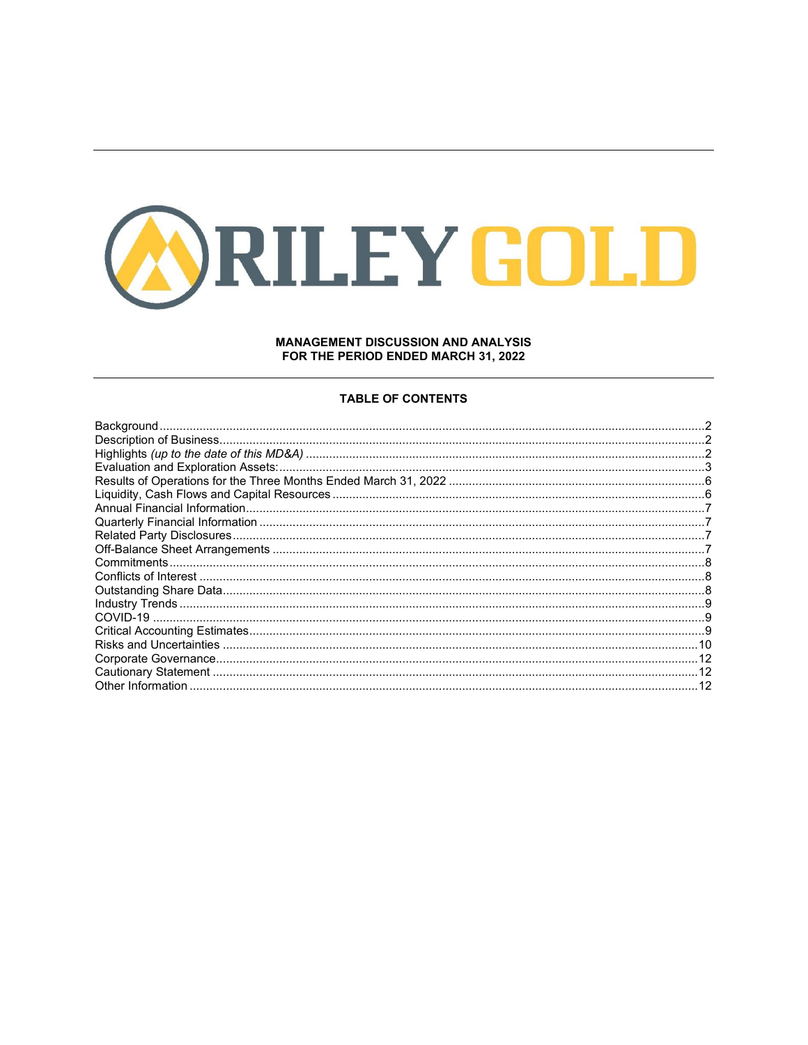

# **MANAGEMENT DISCUSSION AND ANALYSIS** FOR THE PERIOD ENDED MARCH 31, 2022

## **TABLE OF CONTENTS**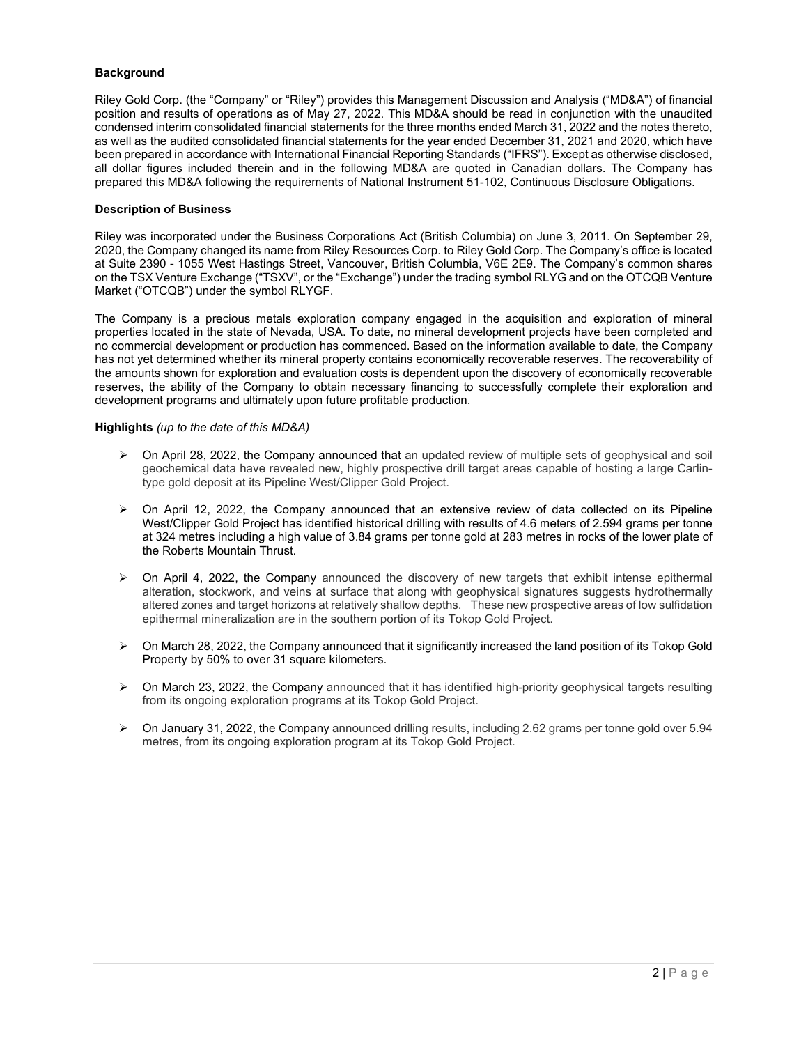# <span id="page-1-0"></span>**Background**

Riley Gold Corp. (the "Company" or "Riley") provides this Management Discussion and Analysis ("MD&A") of financial position and results of operations as of May 27, 2022. This MD&A should be read in conjunction with the unaudited condensed interim consolidated financial statements for the three months ended March 31, 2022 and the notes thereto, as well as the audited consolidated financial statements for the year ended December 31, 2021 and 2020, which have been prepared in accordance with International Financial Reporting Standards ("IFRS"). Except as otherwise disclosed, all dollar figures included therein and in the following MD&A are quoted in Canadian dollars. The Company has prepared this MD&A following the requirements of National Instrument 51-102, Continuous Disclosure Obligations.

## <span id="page-1-1"></span>**Description of Business**

Riley was incorporated under the Business Corporations Act (British Columbia) on June 3, 2011. On September 29, 2020, the Company changed its name from Riley Resources Corp. to Riley Gold Corp. The Company's office is located at Suite 2390 - 1055 West Hastings Street, Vancouver, British Columbia, V6E 2E9. The Company's common shares on the TSX Venture Exchange ("TSXV", or the "Exchange") under the trading symbol RLYG and on the OTCQB Venture Market ("OTCQB") under the symbol RLYGF.

The Company is a precious metals exploration company engaged in the acquisition and exploration of mineral properties located in the state of Nevada, USA. To date, no mineral development projects have been completed and no commercial development or production has commenced. Based on the information available to date, the Company has not yet determined whether its mineral property contains economically recoverable reserves. The recoverability of the amounts shown for exploration and evaluation costs is dependent upon the discovery of economically recoverable reserves, the ability of the Company to obtain necessary financing to successfully complete their exploration and development programs and ultimately upon future profitable production.

## <span id="page-1-2"></span>**Highlights** *(up to the date of this MD&A)*

- $\triangleright$  On April 28, 2022, the Company announced that an updated review of multiple sets of geophysical and soil geochemical data have revealed new, highly prospective drill target areas capable of hosting a large Carlintype gold deposit at its Pipeline West/Clipper Gold Project.
- $\triangleright$  On April 12, 2022, the Company announced that an extensive review of data collected on its Pipeline West/Clipper Gold Project has identified historical drilling with results of 4.6 meters of 2.594 grams per tonne at 324 metres including a high value of 3.84 grams per tonne gold at 283 metres in rocks of the lower plate of the Roberts Mountain Thrust.
- $\triangleright$  On April 4, 2022, the Company announced the discovery of new targets that exhibit intense epithermal alteration, stockwork, and veins at surface that along with geophysical signatures suggests hydrothermally altered zones and target horizons at relatively shallow depths. These new prospective areas of low sulfidation epithermal mineralization are in the southern portion of its Tokop Gold Project.
- $\triangleright$  On March 28, 2022, the Company announced that it significantly increased the land position of its Tokop Gold Property by 50% to over 31 square kilometers.
- $\triangleright$  On March 23, 2022, the Company announced that it has identified high-priority geophysical targets resulting from its ongoing exploration programs at its Tokop Gold Project.
- $\triangleright$  On January 31, 2022, the Company announced drilling results, including 2.62 grams per tonne gold over 5.94 metres, from its ongoing exploration program at its Tokop Gold Project.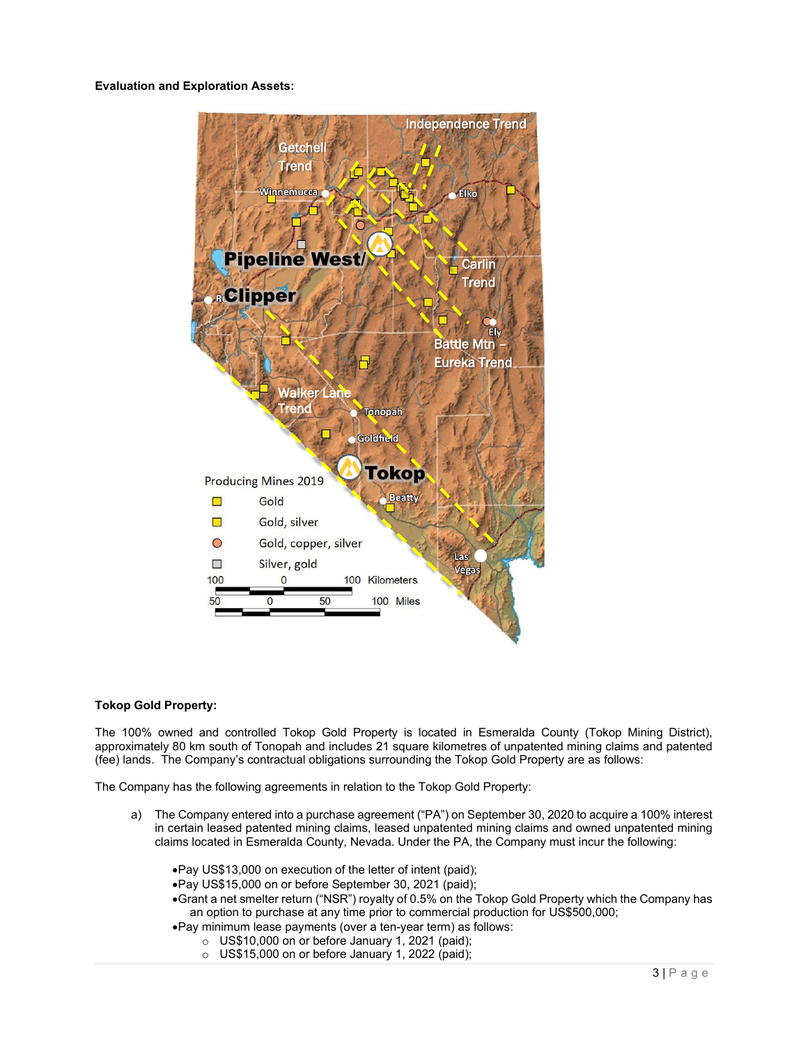<span id="page-2-0"></span>**Evaluation and Exploration Assets:**



## **Tokop Gold Property:**

The 100% owned and controlled Tokop Gold Property is located in Esmeralda County (Tokop Mining District), approximately 80 km south of Tonopah and includes 21 square kilometres of unpatented mining claims and patented (fee) lands. The Company's contractual obligations surrounding the Tokop Gold Property are as follows:

The Company has the following agreements in relation to the Tokop Gold Property:

- a) The Company entered into a purchase agreement ("PA") on September 30, 2020 to acquire a 100% interest in certain leased patented mining claims, leased unpatented mining claims and owned unpatented mining claims located in Esmeralda County, Nevada. Under the PA, the Company must incur the following:
	- •Pay US\$13,000 on execution of the letter of intent (paid);
	- •Pay US\$15,000 on or before September 30, 2021 (paid);
	- •Grant a net smelter return ("NSR") royalty of 0.5% on the Tokop Gold Property which the Company has an option to purchase at any time prior to commercial production for US\$500,000;
	- •Pay minimum lease payments (over a ten-year term) as follows:
		- $\circ$  US\$10,000 on or before January 1, 2021 (paid);
		- $\circ$  US\$15,000 on or before January 1, 2022 (paid);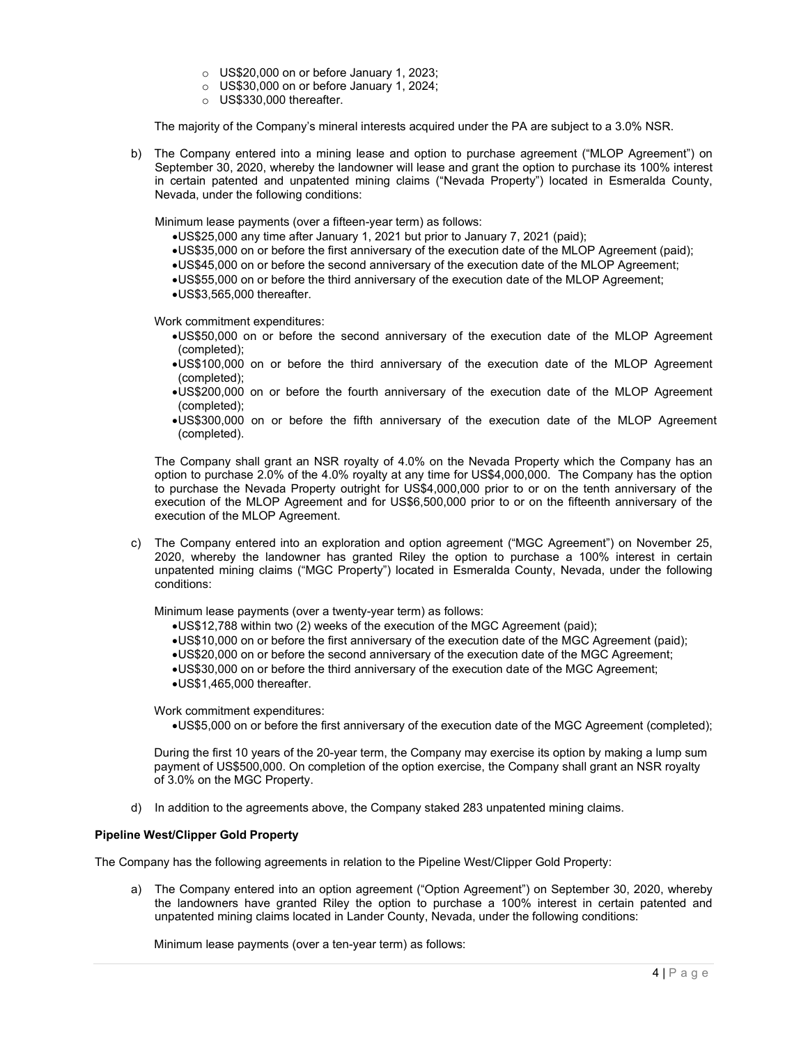- o US\$20,000 on or before January 1, 2023;
- o US\$30,000 on or before January 1, 2024;
- o US\$330,000 thereafter.

The majority of the Company's mineral interests acquired under the PA are subject to a 3.0% NSR.

b) The Company entered into a mining lease and option to purchase agreement ("MLOP Agreement") on September 30, 2020, whereby the landowner will lease and grant the option to purchase its 100% interest in certain patented and unpatented mining claims ("Nevada Property") located in Esmeralda County, Nevada, under the following conditions:

Minimum lease payments (over a fifteen-year term) as follows:

- •US\$25,000 any time after January 1, 2021 but prior to January 7, 2021 (paid);
- •US\$35,000 on or before the first anniversary of the execution date of the MLOP Agreement (paid);
- •US\$45,000 on or before the second anniversary of the execution date of the MLOP Agreement;
- •US\$55,000 on or before the third anniversary of the execution date of the MLOP Agreement;
- •US\$3,565,000 thereafter.

Work commitment expenditures:

- •US\$50,000 on or before the second anniversary of the execution date of the MLOP Agreement (completed);
- •US\$100,000 on or before the third anniversary of the execution date of the MLOP Agreement (completed);
- •US\$200,000 on or before the fourth anniversary of the execution date of the MLOP Agreement (completed);
- •US\$300,000 on or before the fifth anniversary of the execution date of the MLOP Agreement (completed).

The Company shall grant an NSR royalty of 4.0% on the Nevada Property which the Company has an option to purchase 2.0% of the 4.0% royalty at any time for US\$4,000,000. The Company has the option to purchase the Nevada Property outright for US\$4,000,000 prior to or on the tenth anniversary of the execution of the MLOP Agreement and for US\$6,500,000 prior to or on the fifteenth anniversary of the execution of the MLOP Agreement.

c) The Company entered into an exploration and option agreement ("MGC Agreement") on November 25, 2020, whereby the landowner has granted Riley the option to purchase a 100% interest in certain unpatented mining claims ("MGC Property") located in Esmeralda County, Nevada, under the following conditions:

Minimum lease payments (over a twenty-year term) as follows:

- •US\$12,788 within two (2) weeks of the execution of the MGC Agreement (paid);
- •US\$10,000 on or before the first anniversary of the execution date of the MGC Agreement (paid);
- •US\$20,000 on or before the second anniversary of the execution date of the MGC Agreement;
- •US\$30,000 on or before the third anniversary of the execution date of the MGC Agreement;
- •US\$1,465,000 thereafter.

Work commitment expenditures:

•US\$5,000 on or before the first anniversary of the execution date of the MGC Agreement (completed);

During the first 10 years of the 20-year term, the Company may exercise its option by making a lump sum payment of US\$500,000. On completion of the option exercise, the Company shall grant an NSR royalty of 3.0% on the MGC Property.

d) In addition to the agreements above, the Company staked 283 unpatented mining claims.

## **Pipeline West/Clipper Gold Property**

The Company has the following agreements in relation to the Pipeline West/Clipper Gold Property:

a) The Company entered into an option agreement ("Option Agreement") on September 30, 2020, whereby the landowners have granted Riley the option to purchase a 100% interest in certain patented and unpatented mining claims located in Lander County, Nevada, under the following conditions:

Minimum lease payments (over a ten-year term) as follows: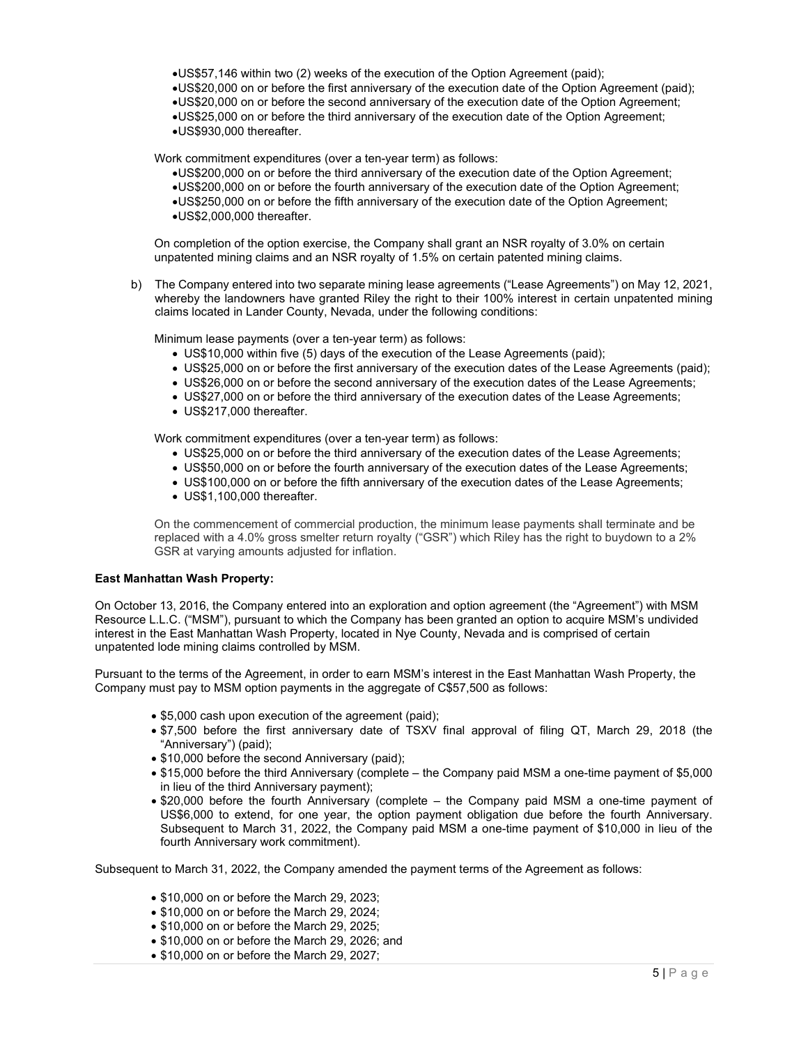- •US\$57,146 within two (2) weeks of the execution of the Option Agreement (paid);
- •US\$20,000 on or before the first anniversary of the execution date of the Option Agreement (paid);
- •US\$20,000 on or before the second anniversary of the execution date of the Option Agreement;
- •US\$25,000 on or before the third anniversary of the execution date of the Option Agreement; •US\$930,000 thereafter.

Work commitment expenditures (over a ten-year term) as follows:

- •US\$200,000 on or before the third anniversary of the execution date of the Option Agreement;
- •US\$200,000 on or before the fourth anniversary of the execution date of the Option Agreement;
- •US\$250,000 on or before the fifth anniversary of the execution date of the Option Agreement;
- •US\$2,000,000 thereafter.

On completion of the option exercise, the Company shall grant an NSR royalty of 3.0% on certain unpatented mining claims and an NSR royalty of 1.5% on certain patented mining claims.

b) The Company entered into two separate mining lease agreements ("Lease Agreements") on May 12, 2021, whereby the landowners have granted Riley the right to their 100% interest in certain unpatented mining claims located in Lander County, Nevada, under the following conditions:

Minimum lease payments (over a ten-year term) as follows:

- US\$10,000 within five (5) days of the execution of the Lease Agreements (paid);
- US\$25,000 on or before the first anniversary of the execution dates of the Lease Agreements (paid);
- US\$26,000 on or before the second anniversary of the execution dates of the Lease Agreements;
- US\$27,000 on or before the third anniversary of the execution dates of the Lease Agreements;
- US\$217,000 thereafter.

Work commitment expenditures (over a ten-year term) as follows:

- US\$25,000 on or before the third anniversary of the execution dates of the Lease Agreements;
- US\$50,000 on or before the fourth anniversary of the execution dates of the Lease Agreements;
- US\$100,000 on or before the fifth anniversary of the execution dates of the Lease Agreements;
- US\$1,100,000 thereafter.

On the commencement of commercial production, the minimum lease payments shall terminate and be replaced with a 4.0% gross smelter return royalty ("GSR") which Riley has the right to buydown to a 2% GSR at varying amounts adjusted for inflation.

## **East Manhattan Wash Property:**

On October 13, 2016, the Company entered into an exploration and option agreement (the "Agreement") with MSM Resource L.L.C. ("MSM"), pursuant to which the Company has been granted an option to acquire MSM's undivided interest in the East Manhattan Wash Property, located in Nye County, Nevada and is comprised of certain unpatented lode mining claims controlled by MSM.

Pursuant to the terms of the Agreement, in order to earn MSM's interest in the East Manhattan Wash Property, the Company must pay to MSM option payments in the aggregate of C\$57,500 as follows:

- \$5,000 cash upon execution of the agreement (paid);
- \$7,500 before the first anniversary date of TSXV final approval of filing QT, March 29, 2018 (the "Anniversary") (paid);
- \$10,000 before the second Anniversary (paid);
- \$15,000 before the third Anniversary (complete the Company paid MSM a one-time payment of \$5,000 in lieu of the third Anniversary payment);
- \$20,000 before the fourth Anniversary (complete the Company paid MSM a one-time payment of US\$6,000 to extend, for one year, the option payment obligation due before the fourth Anniversary. Subsequent to March 31, 2022, the Company paid MSM a one-time payment of \$10,000 in lieu of the fourth Anniversary work commitment).

Subsequent to March 31, 2022, the Company amended the payment terms of the Agreement as follows:

- \$10,000 on or before the March 29, 2023;
- \$10,000 on or before the March 29, 2024;
- \$10,000 on or before the March 29, 2025;
- \$10,000 on or before the March 29, 2026; and
- \$10,000 on or before the March 29, 2027;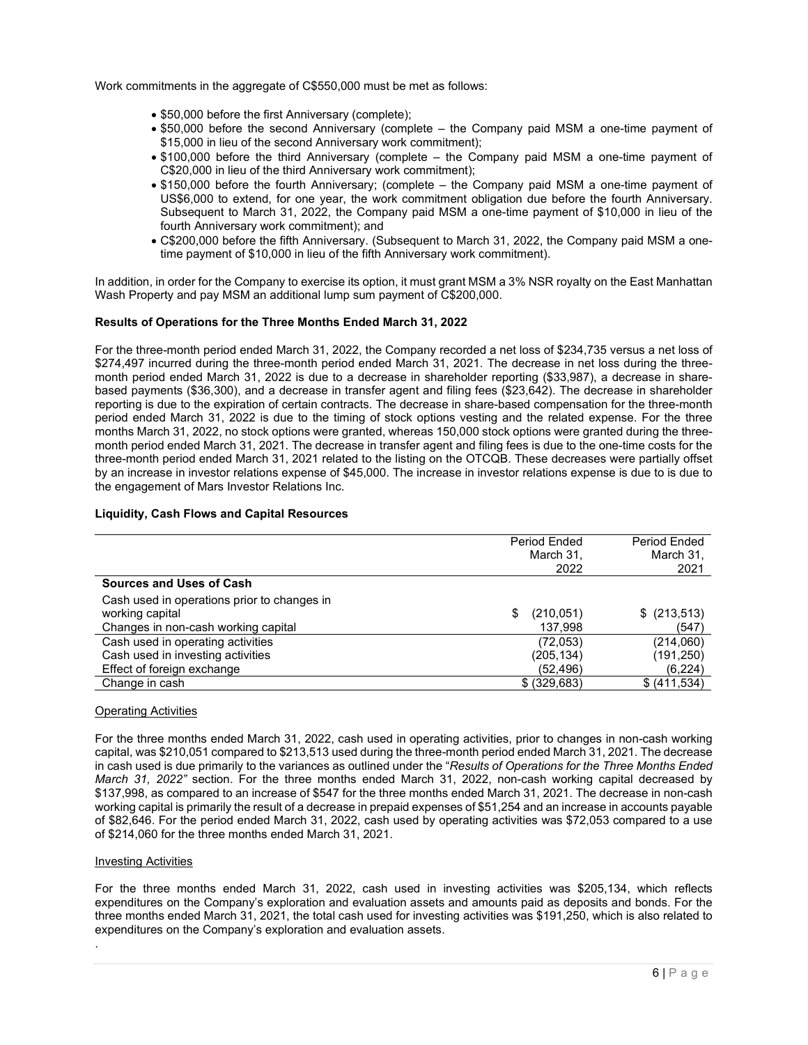Work commitments in the aggregate of C\$550,000 must be met as follows:

- \$50,000 before the first Anniversary (complete);
- \$50,000 before the second Anniversary (complete the Company paid MSM a one-time payment of \$15,000 in lieu of the second Anniversary work commitment);
- \$100,000 before the third Anniversary (complete the Company paid MSM a one-time payment of C\$20,000 in lieu of the third Anniversary work commitment);
- \$150,000 before the fourth Anniversary; (complete the Company paid MSM a one-time payment of US\$6,000 to extend, for one year, the work commitment obligation due before the fourth Anniversary. Subsequent to March 31, 2022, the Company paid MSM a one-time payment of \$10,000 in lieu of the fourth Anniversary work commitment); and
- C\$200,000 before the fifth Anniversary. (Subsequent to March 31, 2022, the Company paid MSM a onetime payment of \$10,000 in lieu of the fifth Anniversary work commitment).

In addition, in order for the Company to exercise its option, it must grant MSM a 3% NSR royalty on the East Manhattan Wash Property and pay MSM an additional lump sum payment of C\$200,000.

## <span id="page-5-0"></span>**Results of Operations for the Three Months Ended March 31, 2022**

For the three-month period ended March 31, 2022, the Company recorded a net loss of \$234,735 versus a net loss of \$274,497 incurred during the three-month period ended March 31, 2021. The decrease in net loss during the threemonth period ended March 31, 2022 is due to a decrease in shareholder reporting (\$33,987), a decrease in sharebased payments (\$36,300), and a decrease in transfer agent and filing fees (\$23,642). The decrease in shareholder reporting is due to the expiration of certain contracts. The decrease in share-based compensation for the three-month period ended March 31, 2022 is due to the timing of stock options vesting and the related expense. For the three months March 31, 2022, no stock options were granted, whereas 150,000 stock options were granted during the threemonth period ended March 31, 2021. The decrease in transfer agent and filing fees is due to the one-time costs for the three-month period ended March 31, 2021 related to the listing on the OTCQB. These decreases were partially offset by an increase in investor relations expense of \$45,000. The increase in investor relations expense is due to is due to the engagement of Mars Investor Relations Inc.

### <span id="page-5-1"></span>**Liquidity, Cash Flows and Capital Resources**

|                                             | Period Ended<br>March 31,<br>2022 | Period Ended<br>March 31,<br>2021 |
|---------------------------------------------|-----------------------------------|-----------------------------------|
| <b>Sources and Uses of Cash</b>             |                                   |                                   |
| Cash used in operations prior to changes in |                                   |                                   |
| working capital                             | (210, 051)<br>\$                  | $$$ (213,513)                     |
| Changes in non-cash working capital         | 137,998                           | (547)                             |
| Cash used in operating activities           | (72,053)                          | (214,060)                         |
| Cash used in investing activities           | (205, 134)                        | (191, 250)                        |
| Effect of foreign exchange                  | (52,496)                          | (6,224)                           |
| Change in cash                              | \$ (329,683)                      | \$ (411,534)                      |

## Operating Activities

For the three months ended March 31, 2022, cash used in operating activities, prior to changes in non-cash working capital, was \$210,051 compared to \$213,513 used during the three-month period ended March 31, 2021. The decrease in cash used is due primarily to the variances as outlined under the "*Results of Operations for the Three Months Ended March 31, 2022"* section. For the three months ended March 31, 2022, non-cash working capital decreased by \$137,998, as compared to an increase of \$547 for the three months ended March 31, 2021. The decrease in non-cash working capital is primarily the result of a decrease in prepaid expenses of \$51,254 and an increase in accounts payable of \$82,646. For the period ended March 31, 2022, cash used by operating activities was \$72,053 compared to a use of \$214,060 for the three months ended March 31, 2021.

### Investing Activities

.

For the three months ended March 31, 2022, cash used in investing activities was \$205,134, which reflects expenditures on the Company's exploration and evaluation assets and amounts paid as deposits and bonds. For the three months ended March 31, 2021, the total cash used for investing activities was \$191,250, which is also related to expenditures on the Company's exploration and evaluation assets.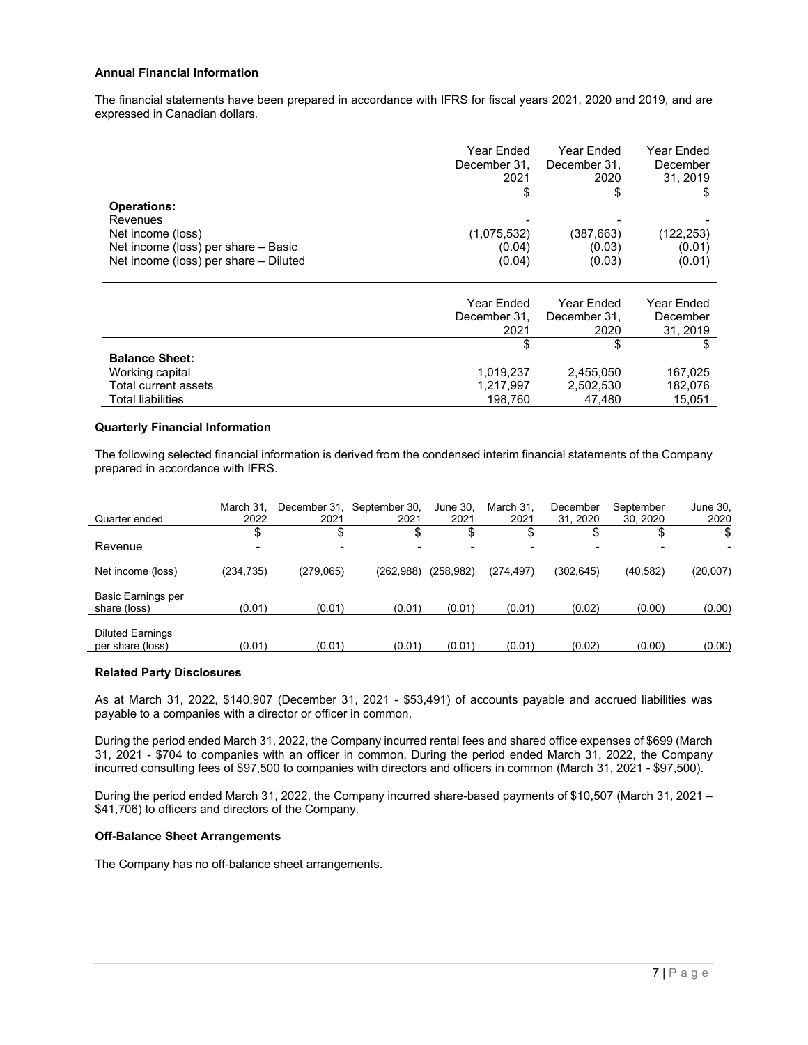# <span id="page-6-0"></span>**Annual Financial Information**

The financial statements have been prepared in accordance with IFRS for fiscal years 2021, 2020 and 2019, and are expressed in Canadian dollars.

|                                       | Year Ended<br>December 31,<br>2021 | Year Ended<br>December 31.<br>2020 | Year Ended<br>December<br>31.2019 |
|---------------------------------------|------------------------------------|------------------------------------|-----------------------------------|
|                                       |                                    |                                    |                                   |
| <b>Operations:</b>                    |                                    |                                    |                                   |
| Revenues                              |                                    |                                    |                                   |
| Net income (loss)                     | (1,075,532)                        | (387, 663)                         | (122,253)                         |
| Net income (loss) per share - Basic   | (0.04)                             | (0.03)                             | (0.01)                            |
| Net income (loss) per share - Diluted | (0.04)                             | (0.03)                             | (0.01)                            |
|                                       |                                    |                                    |                                   |

|                          | Year Ended<br>December 31,<br>2021 | Year Ended<br>December 31.<br>2020 | Year Ended<br>December<br>31, 2019 |
|--------------------------|------------------------------------|------------------------------------|------------------------------------|
|                          |                                    |                                    |                                    |
| <b>Balance Sheet:</b>    |                                    |                                    |                                    |
| Working capital          | 1,019,237                          | 2,455,050                          | 167,025                            |
| Total current assets     | 1,217,997                          | 2,502,530                          | 182.076                            |
| <b>Total liabilities</b> | 198,760                            | 47.480                             | 15,051                             |

# <span id="page-6-1"></span>**Quarterly Financial Information**

The following selected financial information is derived from the condensed interim financial statements of the Company prepared in accordance with IFRS.

| Quarter ended                               | March 31.<br>2022        | December 31.<br>2021 | September 30.<br>2021 | June 30.<br>2021         | March 31.<br>2021 | December<br>31.2020 | September<br>30.2020 | June 30,<br>2020 |
|---------------------------------------------|--------------------------|----------------------|-----------------------|--------------------------|-------------------|---------------------|----------------------|------------------|
|                                             | S                        |                      | \$                    | \$                       |                   |                     | ◡                    | \$               |
| Revenue                                     | $\overline{\phantom{0}}$ |                      |                       | $\overline{\phantom{a}}$ |                   |                     |                      |                  |
| Net income (loss)                           | (234.735)                | (279.065)            | (262,988)             | (258.982)                | (274.497)         | (302.645)           | (40, 582)            | (20,007)         |
| <b>Basic Earnings per</b><br>share (loss)   | (0.01)                   | (0.01)               | (0.01)                | (0.01)                   | (0.01)            | (0.02)              | (0.00)               | (0.00)           |
|                                             |                          |                      |                       |                          |                   |                     |                      |                  |
| <b>Diluted Earnings</b><br>per share (loss) | (0.01)                   | (0.01)               | (0.01)                | (0.01)                   | (0.01)            | (0.02)              | (0.00)               | (0.00)           |

### <span id="page-6-2"></span>**Related Party Disclosures**

As at March 31, 2022, \$140,907 (December 31, 2021 - \$53,491) of accounts payable and accrued liabilities was payable to a companies with a director or officer in common.

During the period ended March 31, 2022, the Company incurred rental fees and shared office expenses of \$699 (March 31, 2021 - \$704 to companies with an officer in common. During the period ended March 31, 2022, the Company incurred consulting fees of \$97,500 to companies with directors and officers in common (March 31, 2021 - \$97,500).

During the period ended March 31, 2022, the Company incurred share-based payments of \$10,507 (March 31, 2021 – \$41,706) to officers and directors of the Company.

# <span id="page-6-3"></span>**Off-Balance Sheet Arrangements**

The Company has no off-balance sheet arrangements.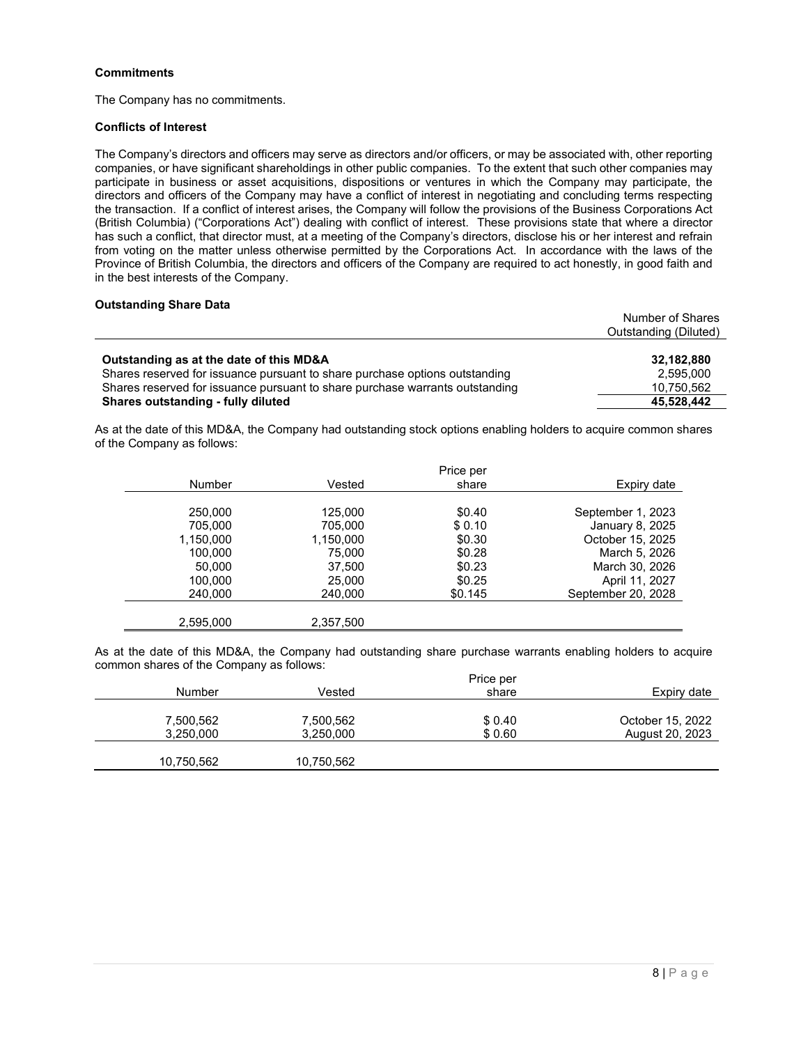# <span id="page-7-0"></span>**Commitments**

The Company has no commitments.

## <span id="page-7-1"></span>**Conflicts of Interest**

The Company's directors and officers may serve as directors and/or officers, or may be associated with, other reporting companies, or have significant shareholdings in other public companies. To the extent that such other companies may participate in business or asset acquisitions, dispositions or ventures in which the Company may participate, the directors and officers of the Company may have a conflict of interest in negotiating and concluding terms respecting the transaction. If a conflict of interest arises, the Company will follow the provisions of the Business Corporations Act (British Columbia) ("Corporations Act") dealing with conflict of interest. These provisions state that where a director has such a conflict, that director must, at a meeting of the Company's directors, disclose his or her interest and refrain from voting on the matter unless otherwise permitted by the Corporations Act. In accordance with the laws of the Province of British Columbia, the directors and officers of the Company are required to act honestly, in good faith and in the best interests of the Company.

# <span id="page-7-2"></span>**Outstanding Share Data**

|                                                                              | Number of Shares      |
|------------------------------------------------------------------------------|-----------------------|
|                                                                              | Outstanding (Diluted) |
|                                                                              |                       |
| Outstanding as at the date of this MD&A                                      | 32.182.880            |
| Shares reserved for issuance pursuant to share purchase options outstanding  | 2.595.000             |
| Shares reserved for issuance pursuant to share purchase warrants outstanding | 10,750,562            |
| Shares outstanding - fully diluted                                           | 45.528.442            |

As at the date of this MD&A, the Company had outstanding stock options enabling holders to acquire common shares of the Company as follows:

|               |           | Price per |                    |
|---------------|-----------|-----------|--------------------|
| <b>Number</b> | Vested    | share     | Expiry date        |
|               |           |           |                    |
| 250,000       | 125,000   | \$0.40    | September 1, 2023  |
| 705,000       | 705,000   | \$0.10    | January 8, 2025    |
| 1,150,000     | 1,150,000 | \$0.30    | October 15, 2025   |
| 100,000       | 75,000    | \$0.28    | March 5, 2026      |
| 50,000        | 37,500    | \$0.23    | March 30, 2026     |
| 100,000       | 25,000    | \$0.25    | April 11, 2027     |
| 240,000       | 240,000   | \$0.145   | September 20, 2028 |
|               |           |           |                    |
| 2,595,000     | 2,357,500 |           |                    |

As at the date of this MD&A, the Company had outstanding share purchase warrants enabling holders to acquire common shares of the Company as follows:

|               |            | Price per |                  |
|---------------|------------|-----------|------------------|
| <b>Number</b> | Vested     | share     | Expiry date      |
|               |            |           |                  |
| 7,500,562     | 7,500,562  | \$0.40    | October 15, 2022 |
| 3,250,000     | 3,250,000  | \$0.60    | August 20, 2023  |
|               |            |           |                  |
| 10,750,562    | 10,750,562 |           |                  |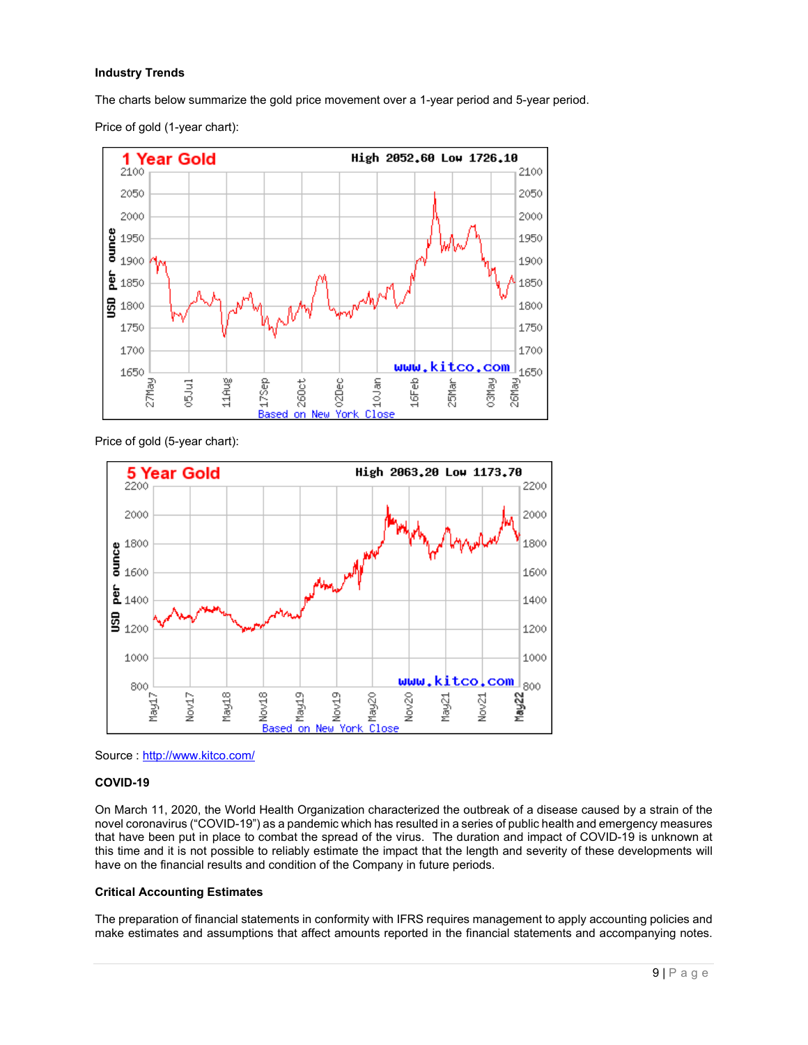# <span id="page-8-0"></span>**Industry Trends**

The charts below summarize the gold price movement over a 1-year period and 5-year period.

High 2052.60 Low 1726.10 1 Year Gold 2100 2100 2050 2050 2000 2000 ounce 1950 1950 1900 1900 er<br>Per 1850 1850 뮼 1800 1800 1750 1750 1700 1700 www.kitco.com 1650 1650 03May  $16Feb$ 27May 11Aug 17Sep  $260<sub>ct</sub>$ 02Dec 26May 05Jul 25Mar 10Jan on

Price of gold (1-year chart):

Price of gold (5-year chart):





# <span id="page-8-1"></span>**COVID-19**

On March 11, 2020, the World Health Organization characterized the outbreak of a disease caused by a strain of the novel coronavirus ("COVID-19") as a pandemic which has resulted in a series of public health and emergency measures that have been put in place to combat the spread of the virus. The duration and impact of COVID-19 is unknown at this time and it is not possible to reliably estimate the impact that the length and severity of these developments will have on the financial results and condition of the Company in future periods.

# <span id="page-8-2"></span>**Critical Accounting Estimates**

The preparation of financial statements in conformity with IFRS requires management to apply accounting policies and make estimates and assumptions that affect amounts reported in the financial statements and accompanying notes.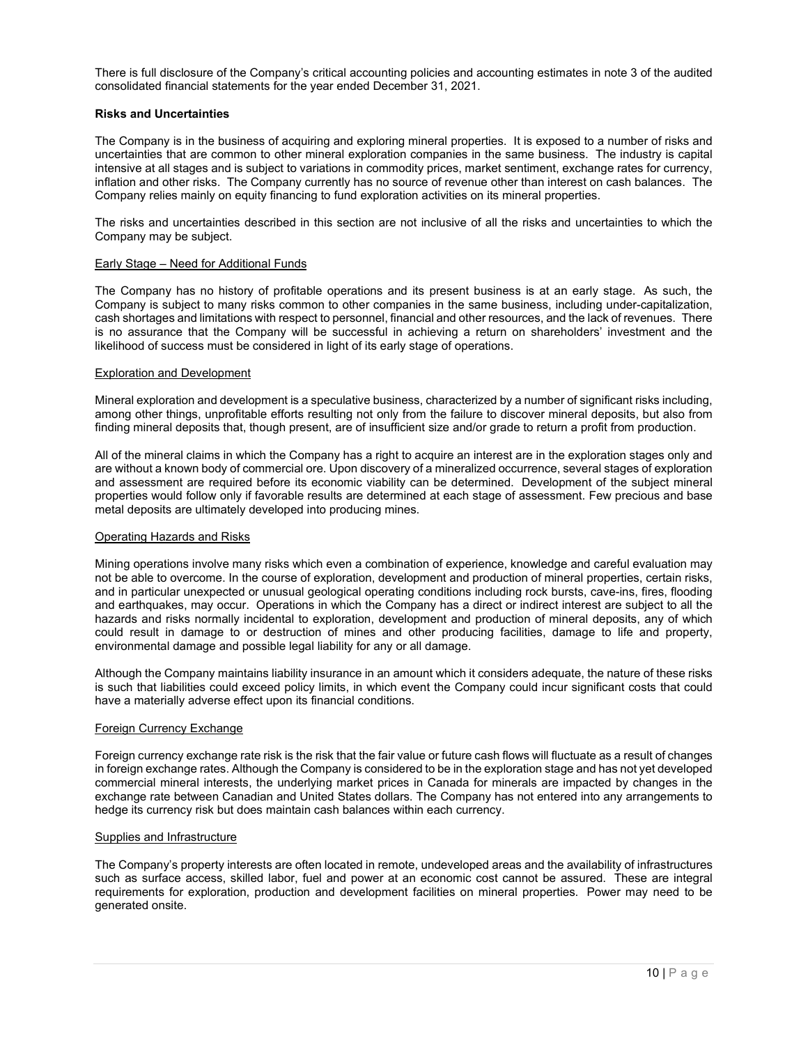There is full disclosure of the Company's critical accounting policies and accounting estimates in note 3 of the audited consolidated financial statements for the year ended December 31, 2021.

## <span id="page-9-0"></span>**Risks and Uncertainties**

The Company is in the business of acquiring and exploring mineral properties. It is exposed to a number of risks and uncertainties that are common to other mineral exploration companies in the same business. The industry is capital intensive at all stages and is subject to variations in commodity prices, market sentiment, exchange rates for currency, inflation and other risks. The Company currently has no source of revenue other than interest on cash balances. The Company relies mainly on equity financing to fund exploration activities on its mineral properties.

The risks and uncertainties described in this section are not inclusive of all the risks and uncertainties to which the Company may be subject.

### Early Stage – Need for Additional Funds

The Company has no history of profitable operations and its present business is at an early stage. As such, the Company is subject to many risks common to other companies in the same business, including under-capitalization, cash shortages and limitations with respect to personnel, financial and other resources, and the lack of revenues. There is no assurance that the Company will be successful in achieving a return on shareholders' investment and the likelihood of success must be considered in light of its early stage of operations.

## Exploration and Development

Mineral exploration and development is a speculative business, characterized by a number of significant risks including, among other things, unprofitable efforts resulting not only from the failure to discover mineral deposits, but also from finding mineral deposits that, though present, are of insufficient size and/or grade to return a profit from production.

All of the mineral claims in which the Company has a right to acquire an interest are in the exploration stages only and are without a known body of commercial ore. Upon discovery of a mineralized occurrence, several stages of exploration and assessment are required before its economic viability can be determined. Development of the subject mineral properties would follow only if favorable results are determined at each stage of assessment. Few precious and base metal deposits are ultimately developed into producing mines.

## Operating Hazards and Risks

Mining operations involve many risks which even a combination of experience, knowledge and careful evaluation may not be able to overcome. In the course of exploration, development and production of mineral properties, certain risks, and in particular unexpected or unusual geological operating conditions including rock bursts, cave-ins, fires, flooding and earthquakes, may occur. Operations in which the Company has a direct or indirect interest are subject to all the hazards and risks normally incidental to exploration, development and production of mineral deposits, any of which could result in damage to or destruction of mines and other producing facilities, damage to life and property, environmental damage and possible legal liability for any or all damage.

Although the Company maintains liability insurance in an amount which it considers adequate, the nature of these risks is such that liabilities could exceed policy limits, in which event the Company could incur significant costs that could have a materially adverse effect upon its financial conditions.

## Foreign Currency Exchange

Foreign currency exchange rate risk is the risk that the fair value or future cash flows will fluctuate as a result of changes in foreign exchange rates. Although the Company is considered to be in the exploration stage and has not yet developed commercial mineral interests, the underlying market prices in Canada for minerals are impacted by changes in the exchange rate between Canadian and United States dollars. The Company has not entered into any arrangements to hedge its currency risk but does maintain cash balances within each currency.

### Supplies and Infrastructure

The Company's property interests are often located in remote, undeveloped areas and the availability of infrastructures such as surface access, skilled labor, fuel and power at an economic cost cannot be assured. These are integral requirements for exploration, production and development facilities on mineral properties. Power may need to be generated onsite.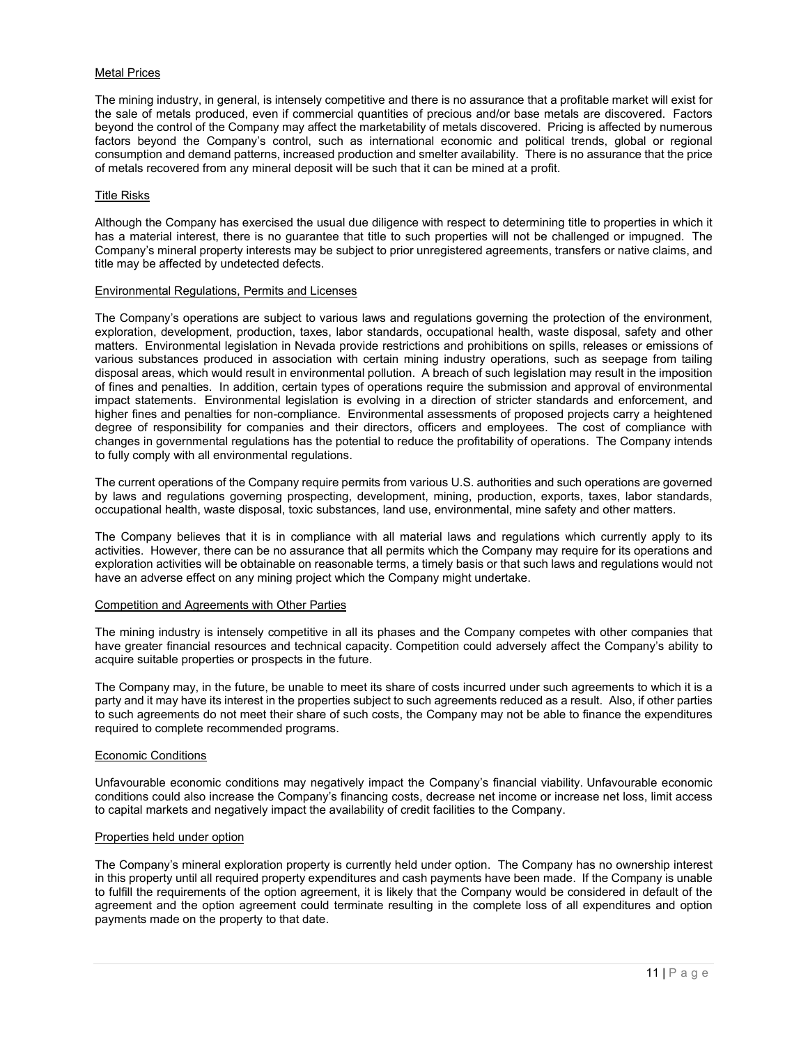# Metal Prices

The mining industry, in general, is intensely competitive and there is no assurance that a profitable market will exist for the sale of metals produced, even if commercial quantities of precious and/or base metals are discovered. Factors beyond the control of the Company may affect the marketability of metals discovered. Pricing is affected by numerous factors beyond the Company's control, such as international economic and political trends, global or regional consumption and demand patterns, increased production and smelter availability. There is no assurance that the price of metals recovered from any mineral deposit will be such that it can be mined at a profit.

## Title Risks

Although the Company has exercised the usual due diligence with respect to determining title to properties in which it has a material interest, there is no guarantee that title to such properties will not be challenged or impugned. The Company's mineral property interests may be subject to prior unregistered agreements, transfers or native claims, and title may be affected by undetected defects.

## Environmental Regulations, Permits and Licenses

The Company's operations are subject to various laws and regulations governing the protection of the environment, exploration, development, production, taxes, labor standards, occupational health, waste disposal, safety and other matters. Environmental legislation in Nevada provide restrictions and prohibitions on spills, releases or emissions of various substances produced in association with certain mining industry operations, such as seepage from tailing disposal areas, which would result in environmental pollution. A breach of such legislation may result in the imposition of fines and penalties. In addition, certain types of operations require the submission and approval of environmental impact statements. Environmental legislation is evolving in a direction of stricter standards and enforcement, and higher fines and penalties for non-compliance. Environmental assessments of proposed projects carry a heightened degree of responsibility for companies and their directors, officers and employees. The cost of compliance with changes in governmental regulations has the potential to reduce the profitability of operations. The Company intends to fully comply with all environmental regulations.

The current operations of the Company require permits from various U.S. authorities and such operations are governed by laws and regulations governing prospecting, development, mining, production, exports, taxes, labor standards, occupational health, waste disposal, toxic substances, land use, environmental, mine safety and other matters.

The Company believes that it is in compliance with all material laws and regulations which currently apply to its activities. However, there can be no assurance that all permits which the Company may require for its operations and exploration activities will be obtainable on reasonable terms, a timely basis or that such laws and regulations would not have an adverse effect on any mining project which the Company might undertake.

### Competition and Agreements with Other Parties

The mining industry is intensely competitive in all its phases and the Company competes with other companies that have greater financial resources and technical capacity. Competition could adversely affect the Company's ability to acquire suitable properties or prospects in the future.

The Company may, in the future, be unable to meet its share of costs incurred under such agreements to which it is a party and it may have its interest in the properties subject to such agreements reduced as a result. Also, if other parties to such agreements do not meet their share of such costs, the Company may not be able to finance the expenditures required to complete recommended programs.

### Economic Conditions

Unfavourable economic conditions may negatively impact the Company's financial viability. Unfavourable economic conditions could also increase the Company's financing costs, decrease net income or increase net loss, limit access to capital markets and negatively impact the availability of credit facilities to the Company.

### Properties held under option

The Company's mineral exploration property is currently held under option. The Company has no ownership interest in this property until all required property expenditures and cash payments have been made. If the Company is unable to fulfill the requirements of the option agreement, it is likely that the Company would be considered in default of the agreement and the option agreement could terminate resulting in the complete loss of all expenditures and option payments made on the property to that date.